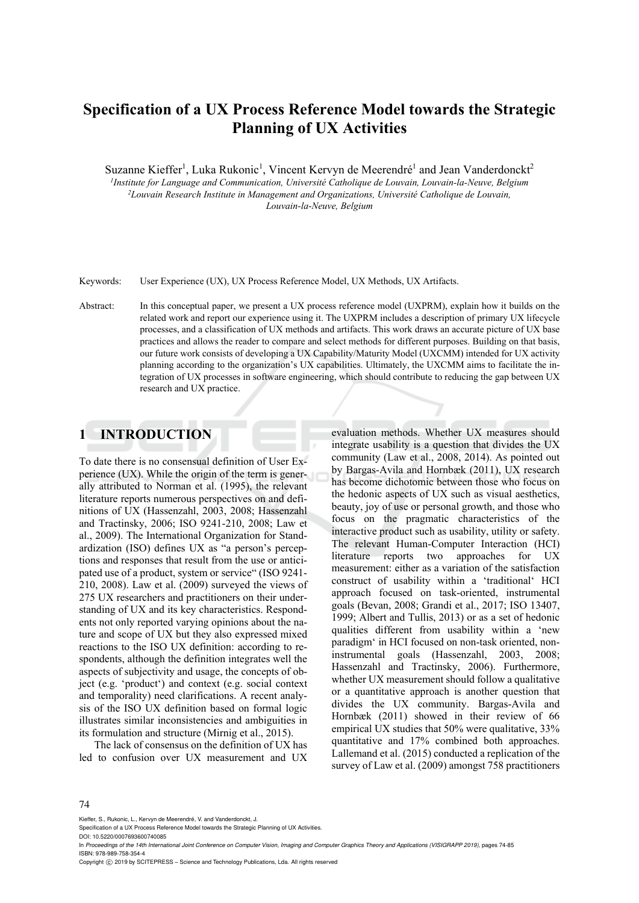# **Specification of a UX Process Reference Model towards the Strategic Planning of UX Activities**

Suzanne Kieffer<sup>1</sup>, Luka Rukonic<sup>1</sup>, Vincent Kervyn de Meerendré<sup>1</sup> and Jean Vanderdonckt<sup>2</sup> *1Institute for Language and Communication, Université Catholique de Louvain, Louvain-la-Neuve, Belgium 2Louvain Research Institute in Management and Organizations, Université Catholique de Louvain, Louvain-la-Neuve, Belgium* 

Keywords: User Experience (UX), UX Process Reference Model, UX Methods, UX Artifacts.

Abstract: In this conceptual paper, we present a UX process reference model (UXPRM), explain how it builds on the related work and report our experience using it. The UXPRM includes a description of primary UX lifecycle processes, and a classification of UX methods and artifacts. This work draws an accurate picture of UX base practices and allows the reader to compare and select methods for different purposes. Building on that basis, our future work consists of developing a UX Capability/Maturity Model (UXCMM) intended for UX activity planning according to the organization's UX capabilities. Ultimately, the UXCMM aims to facilitate the integration of UX processes in software engineering, which should contribute to reducing the gap between UX research and UX practice.

### **1 INTRODUCTION**

To date there is no consensual definition of User Experience (UX). While the origin of the term is generally attributed to Norman et al. (1995), the relevant literature reports numerous perspectives on and definitions of UX (Hassenzahl, 2003, 2008; Hassenzahl and Tractinsky, 2006; ISO 9241-210, 2008; Law et al., 2009). The International Organization for Standardization (ISO) defines UX as "a person's perceptions and responses that result from the use or anticipated use of a product, system or service" (ISO 9241- 210, 2008). Law et al. (2009) surveyed the views of 275 UX researchers and practitioners on their understanding of UX and its key characteristics. Respondents not only reported varying opinions about the nature and scope of UX but they also expressed mixed reactions to the ISO UX definition: according to respondents, although the definition integrates well the aspects of subjectivity and usage, the concepts of object (e.g. 'product') and context (e.g. social context and temporality) need clarifications. A recent analysis of the ISO UX definition based on formal logic illustrates similar inconsistencies and ambiguities in its formulation and structure (Mirnig et al., 2015).

The lack of consensus on the definition of UX has led to confusion over UX measurement and UX

evaluation methods. Whether UX measures should integrate usability is a question that divides the UX community (Law et al., 2008, 2014). As pointed out by Bargas-Avila and Hornbæk (2011), UX research has become dichotomic between those who focus on the hedonic aspects of UX such as visual aesthetics, beauty, joy of use or personal growth, and those who focus on the pragmatic characteristics of the interactive product such as usability, utility or safety. The relevant Human-Computer Interaction (HCI) literature reports two approaches for UX measurement: either as a variation of the satisfaction construct of usability within a 'traditional' HCI approach focused on task-oriented, instrumental goals (Bevan, 2008; Grandi et al., 2017; ISO 13407, 1999; Albert and Tullis, 2013) or as a set of hedonic qualities different from usability within a 'new paradigm' in HCI focused on non-task oriented, noninstrumental goals (Hassenzahl, 2003, 2008; Hassenzahl and Tractinsky, 2006). Furthermore, whether UX measurement should follow a qualitative or a quantitative approach is another question that divides the UX community. Bargas-Avila and Hornbæk (2011) showed in their review of 66 empirical UX studies that 50% were qualitative, 33% quantitative and 17% combined both approaches. Lallemand et al. (2015) conducted a replication of the survey of Law et al. (2009) amongst 758 practitioners

#### 74

Kieffer, S., Rukonic, L., Kervyn de Meerendré, V. and Vanderdonckt, J.

Specification of a UX Process Reference Model towards the Strategic Planning of UX Activities.

DOI: 10.5220/0007693600740085

In *Proceedings of the 14th International Joint Conference on Computer Vision, Imaging and Computer Graphics Theory and Applications (VISIGRAPP 2019)*, pages 74-85 ISBN: 978-989-758-354-4

Copyright © 2019 by SCITEPRESS - Science and Technology Publications, Lda. All rights reserved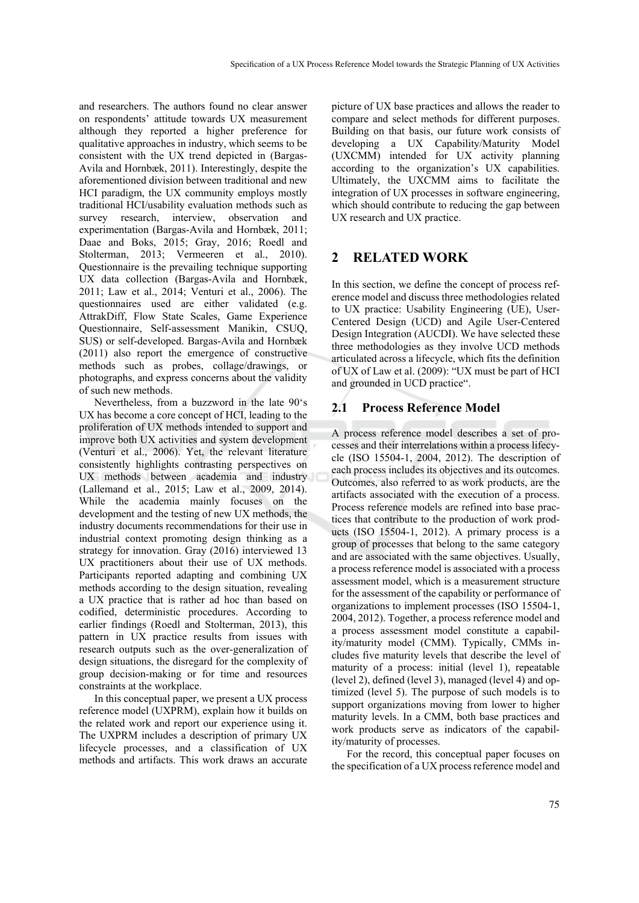and researchers. The authors found no clear answer on respondents' attitude towards UX measurement although they reported a higher preference for qualitative approaches in industry, which seems to be consistent with the UX trend depicted in (Bargas-Avila and Hornbæk, 2011). Interestingly, despite the aforementioned division between traditional and new HCI paradigm, the UX community employs mostly traditional HCI/usability evaluation methods such as survey research, interview, observation and experimentation (Bargas-Avila and Hornbæk, 2011; Daae and Boks, 2015; Gray, 2016; Roedl and Stolterman, 2013; Vermeeren et al., 2010). Questionnaire is the prevailing technique supporting UX data collection (Bargas-Avila and Hornbæk, 2011; Law et al., 2014; Venturi et al., 2006). The questionnaires used are either validated (e.g. AttrakDiff, Flow State Scales, Game Experience Questionnaire, Self-assessment Manikin, CSUQ, SUS) or self-developed. Bargas-Avila and Hornbæk (2011) also report the emergence of constructive methods such as probes, collage/drawings, or photographs, and express concerns about the validity of such new methods.

Nevertheless, from a buzzword in the late 90's UX has become a core concept of HCI, leading to the proliferation of UX methods intended to support and improve both UX activities and system development (Venturi et al., 2006). Yet, the relevant literature consistently highlights contrasting perspectives on UX methods between academia and industry (Lallemand et al., 2015; Law et al., 2009, 2014). While the academia mainly focuses on the development and the testing of new UX methods, the industry documents recommendations for their use in industrial context promoting design thinking as a strategy for innovation. Gray (2016) interviewed 13 UX practitioners about their use of UX methods. Participants reported adapting and combining UX methods according to the design situation, revealing a UX practice that is rather ad hoc than based on codified, deterministic procedures. According to earlier findings (Roedl and Stolterman, 2013), this pattern in UX practice results from issues with research outputs such as the over-generalization of design situations, the disregard for the complexity of group decision-making or for time and resources constraints at the workplace.

In this conceptual paper, we present a UX process reference model (UXPRM), explain how it builds on the related work and report our experience using it. The UXPRM includes a description of primary UX lifecycle processes, and a classification of UX methods and artifacts. This work draws an accurate

picture of UX base practices and allows the reader to compare and select methods for different purposes. Building on that basis, our future work consists of developing a UX Capability/Maturity Model (UXCMM) intended for UX activity planning according to the organization's UX capabilities. Ultimately, the UXCMM aims to facilitate the integration of UX processes in software engineering, which should contribute to reducing the gap between UX research and UX practice.

### **2 RELATED WORK**

In this section, we define the concept of process reference model and discuss three methodologies related to UX practice: Usability Engineering (UE), User-Centered Design (UCD) and Agile User-Centered Design Integration (AUCDI). We have selected these three methodologies as they involve UCD methods articulated across a lifecycle, which fits the definition of UX of Law et al. (2009): "UX must be part of HCI and grounded in UCD practice".

#### **2.1 Process Reference Model**

A process reference model describes a set of processes and their interrelations within a process lifecycle (ISO 15504-1, 2004, 2012). The description of each process includes its objectives and its outcomes. Outcomes, also referred to as work products, are the artifacts associated with the execution of a process. Process reference models are refined into base practices that contribute to the production of work products (ISO 15504-1, 2012). A primary process is a group of processes that belong to the same category and are associated with the same objectives. Usually, a process reference model is associated with a process assessment model, which is a measurement structure for the assessment of the capability or performance of organizations to implement processes (ISO 15504-1, 2004, 2012). Together, a process reference model and a process assessment model constitute a capability/maturity model (CMM). Typically, CMMs includes five maturity levels that describe the level of maturity of a process: initial (level 1), repeatable (level 2), defined (level 3), managed (level 4) and optimized (level 5). The purpose of such models is to support organizations moving from lower to higher maturity levels. In a CMM, both base practices and work products serve as indicators of the capability/maturity of processes.

For the record, this conceptual paper focuses on the specification of a UX process reference model and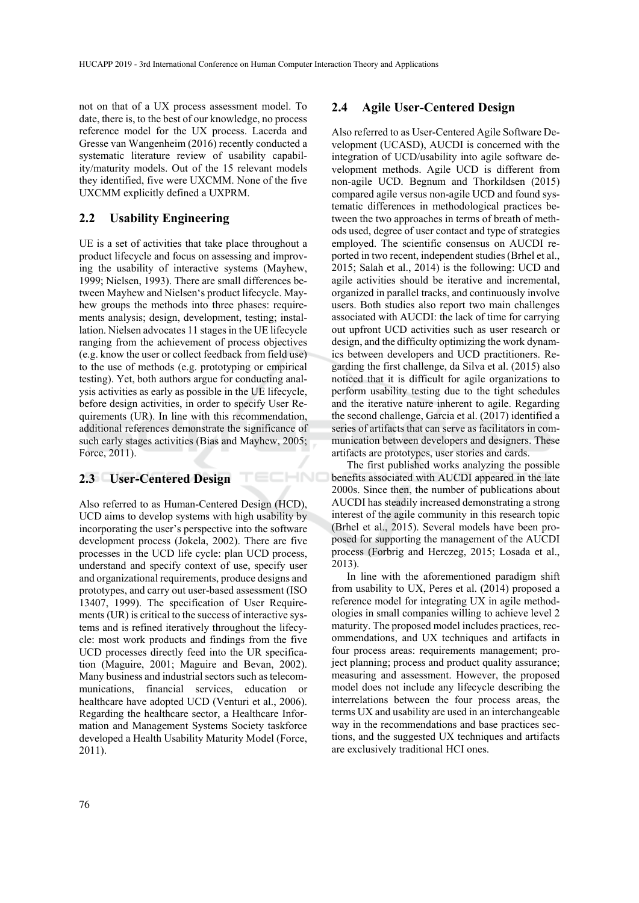TECHNO

not on that of a UX process assessment model. To date, there is, to the best of our knowledge, no process reference model for the UX process. Lacerda and Gresse van Wangenheim (2016) recently conducted a systematic literature review of usability capability/maturity models. Out of the 15 relevant models they identified, five were UXCMM. None of the five UXCMM explicitly defined a UXPRM.

#### **2.2 Usability Engineering**

UE is a set of activities that take place throughout a product lifecycle and focus on assessing and improving the usability of interactive systems (Mayhew, 1999; Nielsen, 1993). There are small differences between Mayhew and Nielsen's product lifecycle. Mayhew groups the methods into three phases: requirements analysis; design, development, testing; installation. Nielsen advocates 11 stages in the UE lifecycle ranging from the achievement of process objectives (e.g. know the user or collect feedback from field use) to the use of methods (e.g. prototyping or empirical testing). Yet, both authors argue for conducting analysis activities as early as possible in the UE lifecycle, before design activities, in order to specify User Requirements (UR). In line with this recommendation, additional references demonstrate the significance of such early stages activities (Bias and Mayhew, 2005; Force, 2011).

#### **2.3 User-Centered Design**

Also referred to as Human-Centered Design (HCD), UCD aims to develop systems with high usability by incorporating the user's perspective into the software development process (Jokela, 2002). There are five processes in the UCD life cycle: plan UCD process, understand and specify context of use, specify user and organizational requirements, produce designs and prototypes, and carry out user-based assessment (ISO 13407, 1999). The specification of User Requirements (UR) is critical to the success of interactive systems and is refined iteratively throughout the lifecycle: most work products and findings from the five UCD processes directly feed into the UR specification (Maguire, 2001; Maguire and Bevan, 2002). Many business and industrial sectors such as telecommunications, financial services, education or healthcare have adopted UCD (Venturi et al., 2006). Regarding the healthcare sector, a Healthcare Information and Management Systems Society taskforce developed a Health Usability Maturity Model (Force, 2011).

#### **2.4 Agile User-Centered Design**

Also referred to as User-Centered Agile Software Development (UCASD), AUCDI is concerned with the integration of UCD/usability into agile software development methods. Agile UCD is different from non-agile UCD. Begnum and Thorkildsen (2015) compared agile versus non-agile UCD and found systematic differences in methodological practices between the two approaches in terms of breath of methods used, degree of user contact and type of strategies employed. The scientific consensus on AUCDI reported in two recent, independent studies (Brhel et al., 2015; Salah et al., 2014) is the following: UCD and agile activities should be iterative and incremental, organized in parallel tracks, and continuously involve users. Both studies also report two main challenges associated with AUCDI: the lack of time for carrying out upfront UCD activities such as user research or design, and the difficulty optimizing the work dynamics between developers and UCD practitioners. Regarding the first challenge, da Silva et al. (2015) also noticed that it is difficult for agile organizations to perform usability testing due to the tight schedules and the iterative nature inherent to agile. Regarding the second challenge, Garcia et al. (2017) identified a series of artifacts that can serve as facilitators in communication between developers and designers. These artifacts are prototypes, user stories and cards.

The first published works analyzing the possible benefits associated with AUCDI appeared in the late 2000s. Since then, the number of publications about AUCDI has steadily increased demonstrating a strong interest of the agile community in this research topic (Brhel et al., 2015). Several models have been proposed for supporting the management of the AUCDI process (Forbrig and Herczeg, 2015; Losada et al., 2013).

In line with the aforementioned paradigm shift from usability to UX, Peres et al. (2014) proposed a reference model for integrating UX in agile methodologies in small companies willing to achieve level 2 maturity. The proposed model includes practices, recommendations, and UX techniques and artifacts in four process areas: requirements management; project planning; process and product quality assurance; measuring and assessment. However, the proposed model does not include any lifecycle describing the interrelations between the four process areas, the terms UX and usability are used in an interchangeable way in the recommendations and base practices sections, and the suggested UX techniques and artifacts are exclusively traditional HCI ones.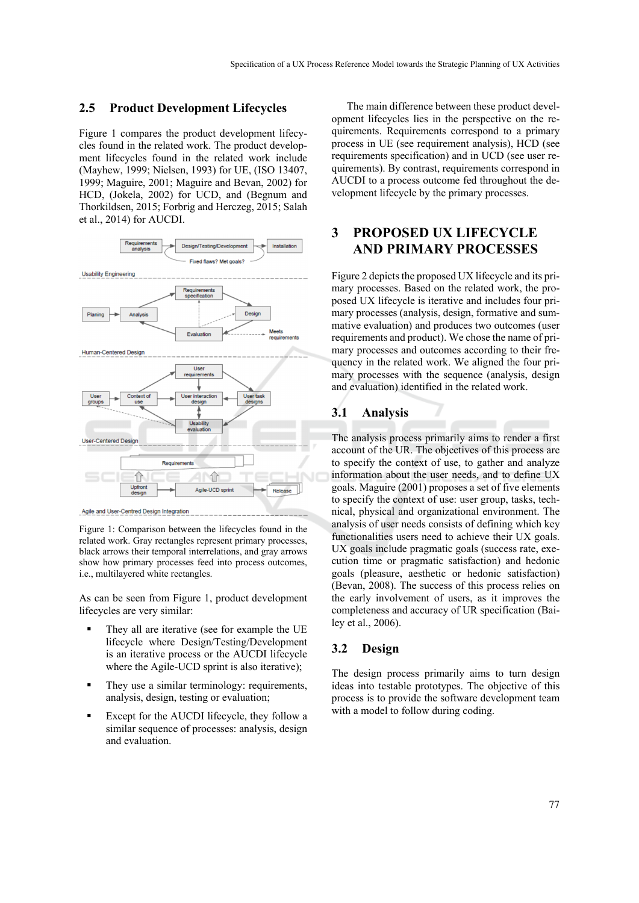#### **2.5 Product Development Lifecycles**

Figure 1 compares the product development lifecycles found in the related work. The product development lifecycles found in the related work include (Mayhew, 1999; Nielsen, 1993) for UE, (ISO 13407, 1999; Maguire, 2001; Maguire and Bevan, 2002) for HCD, (Jokela, 2002) for UCD, and (Begnum and Thorkildsen, 2015; Forbrig and Herczeg, 2015; Salah et al., 2014) for AUCDI.



Figure 1: Comparison between the lifecycles found in the related work. Gray rectangles represent primary processes, black arrows their temporal interrelations, and gray arrows show how primary processes feed into process outcomes, i.e., multilayered white rectangles.

As can be seen from Figure 1, product development lifecycles are very similar:

- They all are iterative (see for example the UE lifecycle where Design/Testing/Development is an iterative process or the AUCDI lifecycle where the Agile-UCD sprint is also iterative);
- They use a similar terminology: requirements, analysis, design, testing or evaluation;
- Except for the AUCDI lifecycle, they follow a similar sequence of processes: analysis, design and evaluation.

The main difference between these product development lifecycles lies in the perspective on the requirements. Requirements correspond to a primary process in UE (see requirement analysis), HCD (see requirements specification) and in UCD (see user requirements). By contrast, requirements correspond in AUCDI to a process outcome fed throughout the development lifecycle by the primary processes.

### **3 PROPOSED UX LIFECYCLE AND PRIMARY PROCESSES**

Figure 2 depicts the proposed UX lifecycle and its primary processes. Based on the related work, the proposed UX lifecycle is iterative and includes four primary processes (analysis, design, formative and summative evaluation) and produces two outcomes (user requirements and product). We chose the name of primary processes and outcomes according to their frequency in the related work. We aligned the four primary processes with the sequence (analysis, design and evaluation) identified in the related work.

#### **3.1 Analysis**

The analysis process primarily aims to render a first account of the UR. The objectives of this process are to specify the context of use, to gather and analyze information about the user needs, and to define UX goals. Maguire (2001) proposes a set of five elements to specify the context of use: user group, tasks, technical, physical and organizational environment. The analysis of user needs consists of defining which key functionalities users need to achieve their UX goals. UX goals include pragmatic goals (success rate, execution time or pragmatic satisfaction) and hedonic goals (pleasure, aesthetic or hedonic satisfaction) (Bevan, 2008). The success of this process relies on the early involvement of users, as it improves the completeness and accuracy of UR specification (Bailey et al., 2006).

#### **3.2 Design**

The design process primarily aims to turn design ideas into testable prototypes. The objective of this process is to provide the software development team with a model to follow during coding.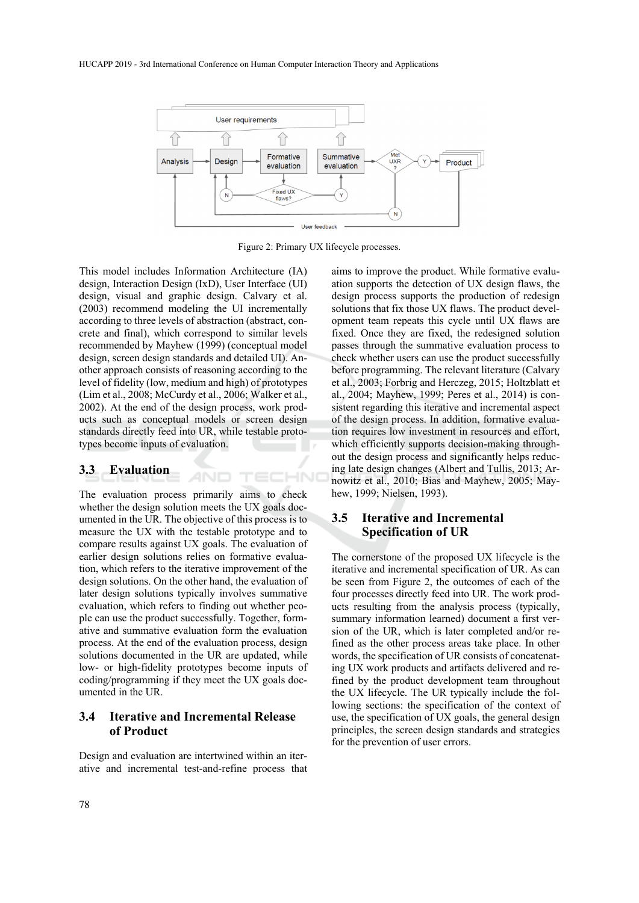

Figure 2: Primary UX lifecycle processes.

TECHNI

This model includes Information Architecture (IA) design, Interaction Design (IxD), User Interface (UI) design, visual and graphic design. Calvary et al. (2003) recommend modeling the UI incrementally according to three levels of abstraction (abstract, concrete and final), which correspond to similar levels recommended by Mayhew (1999) (conceptual model design, screen design standards and detailed UI). Another approach consists of reasoning according to the level of fidelity (low, medium and high) of prototypes (Lim et al., 2008; McCurdy et al., 2006; Walker et al., 2002). At the end of the design process, work products such as conceptual models or screen design standards directly feed into UR, while testable prototypes become inputs of evaluation.

#### **3.3 Evaluation**

The evaluation process primarily aims to check whether the design solution meets the UX goals documented in the UR. The objective of this process is to measure the UX with the testable prototype and to compare results against UX goals. The evaluation of earlier design solutions relies on formative evaluation, which refers to the iterative improvement of the design solutions. On the other hand, the evaluation of later design solutions typically involves summative evaluation, which refers to finding out whether people can use the product successfully. Together, formative and summative evaluation form the evaluation process. At the end of the evaluation process, design solutions documented in the UR are updated, while low- or high-fidelity prototypes become inputs of coding/programming if they meet the UX goals documented in the UR.

#### **3.4 Iterative and Incremental Release of Product**

Design and evaluation are intertwined within an iterative and incremental test-and-refine process that aims to improve the product. While formative evaluation supports the detection of UX design flaws, the design process supports the production of redesign solutions that fix those UX flaws. The product development team repeats this cycle until UX flaws are fixed. Once they are fixed, the redesigned solution passes through the summative evaluation process to check whether users can use the product successfully before programming. The relevant literature (Calvary et al., 2003; Forbrig and Herczeg, 2015; Holtzblatt et al., 2004; Mayhew, 1999; Peres et al., 2014) is consistent regarding this iterative and incremental aspect of the design process. In addition, formative evaluation requires low investment in resources and effort, which efficiently supports decision-making throughout the design process and significantly helps reducing late design changes (Albert and Tullis, 2013; Arnowitz et al., 2010; Bias and Mayhew, 2005; Mayhew, 1999; Nielsen, 1993).

#### **3.5 Iterative and Incremental Specification of UR**

The cornerstone of the proposed UX lifecycle is the iterative and incremental specification of UR. As can be seen from Figure 2, the outcomes of each of the four processes directly feed into UR. The work products resulting from the analysis process (typically, summary information learned) document a first version of the UR, which is later completed and/or refined as the other process areas take place. In other words, the specification of UR consists of concatenating UX work products and artifacts delivered and refined by the product development team throughout the UX lifecycle. The UR typically include the following sections: the specification of the context of use, the specification of UX goals, the general design principles, the screen design standards and strategies for the prevention of user errors.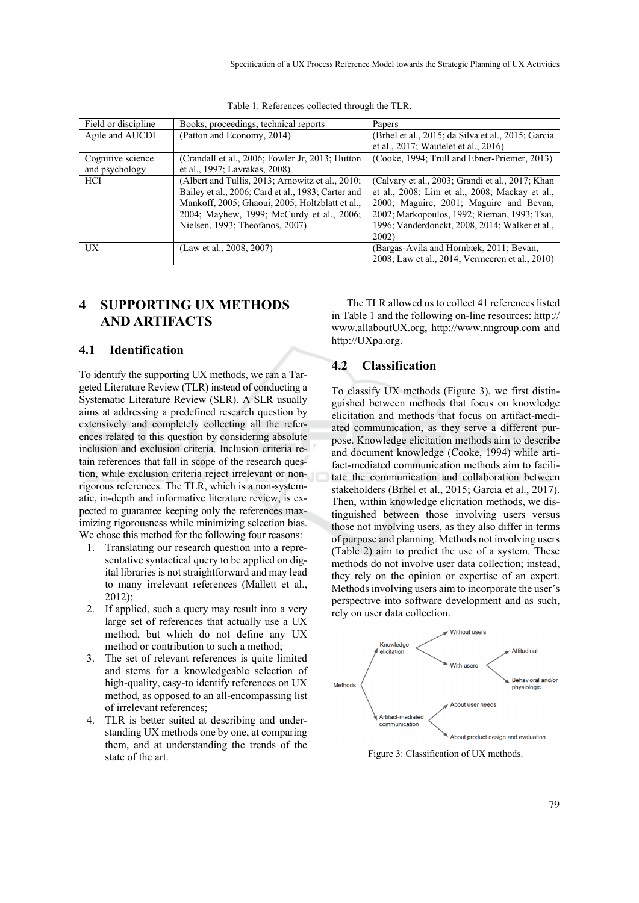| Field or discipline | Books, proceedings, technical reports              | Papers                                             |
|---------------------|----------------------------------------------------|----------------------------------------------------|
| Agile and AUCDI     | (Patton and Economy, 2014)                         | (Brhel et al., 2015; da Silva et al., 2015; Garcia |
|                     |                                                    | et al., 2017; Wautelet et al., 2016)               |
| Cognitive science   | (Crandall et al., 2006; Fowler Jr, 2013; Hutton    | (Cooke, 1994; Trull and Ebner-Priemer, 2013)       |
| and psychology      | et al., 1997; Lavrakas, 2008)                      |                                                    |
| <b>HCI</b>          | (Albert and Tullis, 2013; Arnowitz et al., 2010;   | (Calvary et al., 2003; Grandi et al., 2017; Khan   |
|                     | Bailey et al., 2006; Card et al., 1983; Carter and | et al., 2008; Lim et al., 2008; Mackay et al.,     |
|                     | Mankoff, 2005; Ghaoui, 2005; Holtzblatt et al.,    | 2000; Maguire, 2001; Maguire and Bevan,            |
|                     | 2004; Mayhew, 1999; McCurdy et al., 2006;          | 2002; Markopoulos, 1992; Rieman, 1993; Tsai,       |
|                     | Nielsen, 1993; Theofanos, 2007)                    | 1996; Vanderdonckt, 2008, 2014; Walker et al.,     |
|                     |                                                    | 2002)                                              |
| UX                  | (Law et al., 2008, 2007)                           | (Bargas-Avila and Hornbæk, 2011; Bevan,            |
|                     |                                                    | 2008; Law et al., 2014; Vermeeren et al., 2010)    |

Table 1: References collected through the TLR.

## **4 SUPPORTING UX METHODS AND ARTIFACTS**

#### **4.1 Identification**

To identify the supporting UX methods, we ran a Targeted Literature Review (TLR) instead of conducting a Systematic Literature Review (SLR). A SLR usually aims at addressing a predefined research question by extensively and completely collecting all the references related to this question by considering absolute inclusion and exclusion criteria. Inclusion criteria retain references that fall in scope of the research question, while exclusion criteria reject irrelevant or nonrigorous references. The TLR, which is a non-systematic, in-depth and informative literature review, is expected to guarantee keeping only the references maximizing rigorousness while minimizing selection bias. We chose this method for the following four reasons:

- 1. Translating our research question into a representative syntactical query to be applied on digital libraries is not straightforward and may lead to many irrelevant references (Mallett et al., 2012);
- 2. If applied, such a query may result into a very large set of references that actually use a UX method, but which do not define any UX method or contribution to such a method;
- 3. The set of relevant references is quite limited and stems for a knowledgeable selection of high-quality, easy-to identify references on UX method, as opposed to an all-encompassing list of irrelevant references;
- 4. TLR is better suited at describing and understanding UX methods one by one, at comparing them, and at understanding the trends of the state of the art.

The TLR allowed us to collect 41 references listed in Table 1 and the following on-line resources: http:// www.allaboutUX.org, http://www.nngroup.com and http://UXpa.org.

#### **4.2 Classification**

To classify UX methods (Figure 3), we first distinguished between methods that focus on knowledge elicitation and methods that focus on artifact-mediated communication, as they serve a different purpose. Knowledge elicitation methods aim to describe and document knowledge (Cooke, 1994) while artifact-mediated communication methods aim to facilitate the communication and collaboration between stakeholders (Brhel et al., 2015; Garcia et al., 2017). Then, within knowledge elicitation methods, we distinguished between those involving users versus those not involving users, as they also differ in terms of purpose and planning. Methods not involving users (Table 2) aim to predict the use of a system. These methods do not involve user data collection; instead, they rely on the opinion or expertise of an expert. Methods involving users aim to incorporate the user's perspective into software development and as such, rely on user data collection.



Figure 3: Classification of UX methods.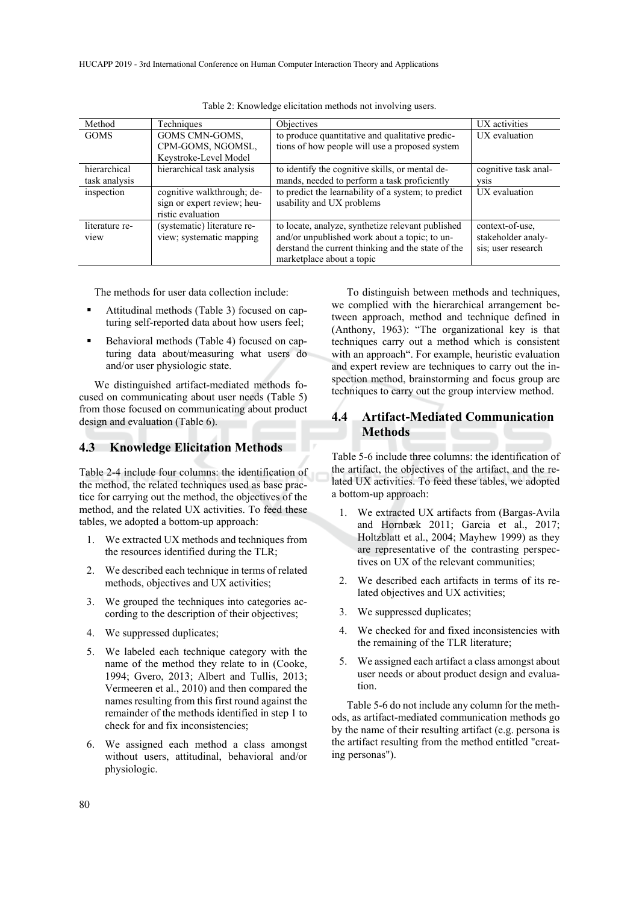HUCAPP 2019 - 3rd International Conference on Human Computer Interaction Theory and Applications

| Method         | Techniques                  | <b>Objectives</b>                                   | UX activities        |
|----------------|-----------------------------|-----------------------------------------------------|----------------------|
| <b>GOMS</b>    | GOMS CMN-GOMS,              | to produce quantitative and qualitative predic-     | UX evaluation        |
|                | CPM-GOMS, NGOMSL,           | tions of how people will use a proposed system      |                      |
|                | Keystroke-Level Model       |                                                     |                      |
| hierarchical   | hierarchical task analysis  | to identify the cognitive skills, or mental de-     | cognitive task anal- |
| task analysis  |                             | mands, needed to perform a task proficiently        | <b>VS1S</b>          |
| inspection     | cognitive walkthrough; de-  | to predict the learnability of a system; to predict | UX evaluation        |
|                | sign or expert review; heu- | usability and UX problems                           |                      |
|                | ristic evaluation           |                                                     |                      |
| literature re- | (systematic) literature re- | to locate, analyze, synthetize relevant published   | context-of-use.      |
| view           | view; systematic mapping    | and/or unpublished work about a topic; to un-       | stakeholder analy-   |
|                |                             | derstand the current thinking and the state of the  | sis; user research   |
|                |                             | marketplace about a topic                           |                      |

Table 2: Knowledge elicitation methods not involving users.

The methods for user data collection include:

- Attitudinal methods (Table 3) focused on capturing self-reported data about how users feel;
- Behavioral methods (Table 4) focused on capturing data about/measuring what users do and/or user physiologic state.

We distinguished artifact-mediated methods focused on communicating about user needs (Table 5) from those focused on communicating about product design and evaluation (Table 6).

#### **4.3 Knowledge Elicitation Methods**

Table 2-4 include four columns: the identification of the method, the related techniques used as base practice for carrying out the method, the objectives of the method, and the related UX activities. To feed these tables, we adopted a bottom-up approach:

- 1. We extracted UX methods and techniques from the resources identified during the TLR;
- 2. We described each technique in terms of related methods, objectives and UX activities;
- 3. We grouped the techniques into categories according to the description of their objectives;
- 4. We suppressed duplicates;
- 5. We labeled each technique category with the name of the method they relate to in (Cooke, 1994; Gvero, 2013; Albert and Tullis, 2013; Vermeeren et al., 2010) and then compared the names resulting from this first round against the remainder of the methods identified in step 1 to check for and fix inconsistencies;
- 6. We assigned each method a class amongst without users, attitudinal, behavioral and/or physiologic.

To distinguish between methods and techniques, we complied with the hierarchical arrangement between approach, method and technique defined in (Anthony, 1963): "The organizational key is that techniques carry out a method which is consistent with an approach". For example, heuristic evaluation and expert review are techniques to carry out the inspection method, brainstorming and focus group are techniques to carry out the group interview method.

### **4.4 Artifact-Mediated Communication Methods**

Table 5-6 include three columns: the identification of the artifact, the objectives of the artifact, and the related UX activities. To feed these tables, we adopted a bottom-up approach:

- 1. We extracted UX artifacts from (Bargas-Avila and Hornbæk 2011; Garcia et al., 2017; Holtzblatt et al., 2004; Mayhew 1999) as they are representative of the contrasting perspectives on UX of the relevant communities;
- 2. We described each artifacts in terms of its related objectives and UX activities;
- 3. We suppressed duplicates;
- 4. We checked for and fixed inconsistencies with the remaining of the TLR literature;
- 5. We assigned each artifact a class amongst about user needs or about product design and evaluation.

Table 5-6 do not include any column for the methods, as artifact-mediated communication methods go by the name of their resulting artifact (e.g. persona is the artifact resulting from the method entitled "creating personas").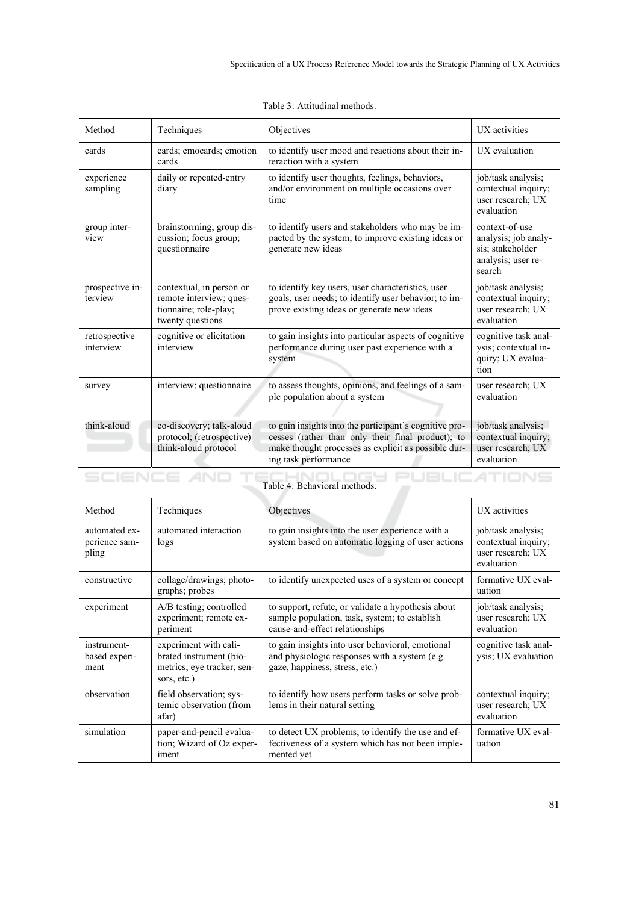| Method                       | Techniques                                                                                       | Objectives                                                                                                                                                                                 | UX activities                                                                              |
|------------------------------|--------------------------------------------------------------------------------------------------|--------------------------------------------------------------------------------------------------------------------------------------------------------------------------------------------|--------------------------------------------------------------------------------------------|
| cards                        | cards; emocards; emotion<br>cards                                                                | to identify user mood and reactions about their in-<br>teraction with a system                                                                                                             | UX evaluation                                                                              |
| experience<br>sampling       | daily or repeated-entry<br>diary                                                                 | to identify user thoughts, feelings, behaviors,<br>and/or environment on multiple occasions over<br>time                                                                                   | job/task analysis;<br>contextual inquiry;<br>user research; UX<br>evaluation               |
| group inter-<br>view         | brainstorming; group dis-<br>cussion; focus group;<br>questionnaire                              | to identify users and stakeholders who may be im-<br>pacted by the system; to improve existing ideas or<br>generate new ideas                                                              | context-of-use<br>analysis; job analy-<br>sis; stakeholder<br>analysis; user re-<br>search |
| prospective in-<br>terview   | contextual, in person or<br>remote interview; ques-<br>tionnaire; role-play;<br>twenty questions | to identify key users, user characteristics, user<br>goals, user needs; to identify user behavior; to im-<br>prove existing ideas or generate new ideas                                    | job/task analysis;<br>contextual inquiry;<br>user research; UX<br>evaluation               |
| retrospective<br>interview   | cognitive or elicitation<br>interview                                                            | to gain insights into particular aspects of cognitive<br>performance during user past experience with a<br>system                                                                          | cognitive task anal-<br>ysis; contextual in-<br>quiry; UX evalua-<br>tion                  |
| survey                       | interview; questionnaire                                                                         | to assess thoughts, opinions, and feelings of a sam-<br>ple population about a system                                                                                                      | user research; UX<br>evaluation                                                            |
| think-aloud                  | co-discovery; talk-aloud<br>protocol; (retrospective)<br>think-aloud protocol                    | to gain insights into the participant's cognitive pro-<br>cesses (rather than only their final product); to<br>make thought processes as explicit as possible dur-<br>ing task performance | job/task analysis;<br>contextual inquiry;<br>user research; UX<br>evaluation               |
| Table 4: Behavioral methods. |                                                                                                  |                                                                                                                                                                                            |                                                                                            |

Table 3: Attitudinal methods.

| Method                                  | Techniques                                                                                    | Objectives                                                                                                                            | UX activities                                                                |
|-----------------------------------------|-----------------------------------------------------------------------------------------------|---------------------------------------------------------------------------------------------------------------------------------------|------------------------------------------------------------------------------|
| automated ex-<br>perience sam-<br>pling | automated interaction<br>logs                                                                 | to gain insights into the user experience with a<br>system based on automatic logging of user actions                                 | job/task analysis;<br>contextual inquiry;<br>user research; UX<br>evaluation |
| constructive                            | collage/drawings; photo-<br>graphs; probes                                                    | to identify unexpected uses of a system or concept                                                                                    | formative UX eval-<br>uation                                                 |
| experiment                              | A/B testing; controlled<br>experiment; remote ex-<br>periment                                 | to support, refute, or validate a hypothesis about<br>sample population, task, system; to establish<br>cause-and-effect relationships | job/task analysis;<br>user research; UX<br>evaluation                        |
| instrument-<br>based experi-<br>ment    | experiment with cali-<br>brated instrument (bio-<br>metrics, eye tracker, sen-<br>sors, etc.) | to gain insights into user behavioral, emotional<br>and physiologic responses with a system (e.g.<br>gaze, happiness, stress, etc.)   | cognitive task anal-<br>ysis; UX evaluation                                  |
| observation                             | field observation; sys-<br>temic observation (from<br>afar)                                   | to identify how users perform tasks or solve prob-<br>lems in their natural setting                                                   | contextual inquiry;<br>user research; UX<br>evaluation                       |
| simulation                              | paper-and-pencil evalua-<br>tion; Wizard of Oz exper-<br>iment                                | to detect UX problems; to identify the use and ef-<br>fectiveness of a system which has not been imple-<br>mented yet                 | formative UX eval-<br>uation                                                 |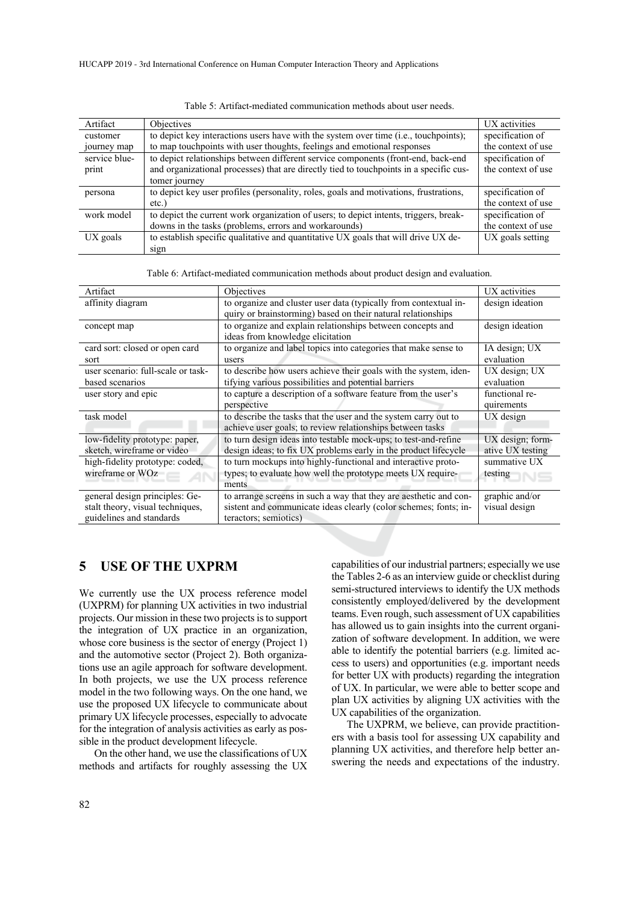| Artifact      | <b>Objectives</b>                                                                       | UX activities      |
|---------------|-----------------------------------------------------------------------------------------|--------------------|
| customer      | to depict key interactions users have with the system over time (i.e., touchpoints);    | specification of   |
| journey map   | to map touchpoints with user thoughts, feelings and emotional responses                 | the context of use |
| service blue- | to depict relationships between different service components (front-end, back-end       | specification of   |
| print         | and organizational processes) that are directly tied to touch points in a specific cus- | the context of use |
|               | tomer journey                                                                           |                    |
| persona       | to depict key user profiles (personality, roles, goals and motivations, frustrations,   | specification of   |
|               | $etc.$ )                                                                                | the context of use |
| work model    | to depict the current work organization of users; to depict intents, triggers, break-   | specification of   |
|               | downs in the tasks (problems, errors and workarounds)                                   | the context of use |
| $UX$ goals    | to establish specific qualitative and quantitative UX goals that will drive UX de-      | UX goals setting   |
|               | sign                                                                                    |                    |

Table 5: Artifact-mediated communication methods about user needs.

Table 6: Artifact-mediated communication methods about product design and evaluation.

| Artifact                           | Objectives                                                        | UX activities    |
|------------------------------------|-------------------------------------------------------------------|------------------|
| affinity diagram                   | to organize and cluster user data (typically from contextual in-  | design ideation  |
|                                    | quiry or brainstorming) based on their natural relationships      |                  |
| concept map                        | to organize and explain relationships between concepts and        | design ideation  |
|                                    | ideas from knowledge elicitation                                  |                  |
| card sort: closed or open card     | to organize and label topics into categories that make sense to   | IA design; UX    |
| sort                               | users                                                             | evaluation       |
| user scenario: full-scale or task- | to describe how users achieve their goals with the system, iden-  | UX design; UX    |
| based scenarios                    | tifying various possibilities and potential barriers              | evaluation       |
| user story and epic                | to capture a description of a software feature from the user's    | functional re-   |
|                                    | perspective                                                       | quirements       |
| task model                         | to describe the tasks that the user and the system carry out to   | $UX$ design      |
|                                    | achieve user goals; to review relationships between tasks         |                  |
| low-fidelity prototype: paper,     | to turn design ideas into testable mock-ups; to test-and-refine   | UX design; form- |
| sketch, wireframe or video         | design ideas; to fix UX problems early in the product lifecycle   | ative UX testing |
| high-fidelity prototype: coded,    | to turn mockups into highly-functional and interactive proto-     | summative UX     |
| wireframe or WOz                   | types; to evaluate how well the prototype meets UX require-       | testing          |
|                                    | ments                                                             |                  |
| general design principles: Ge-     | to arrange screens in such a way that they are aesthetic and con- | graphic and/or   |
| stalt theory, visual techniques,   | sistent and communicate ideas clearly (color schemes; fonts; in-  | visual design    |
| guidelines and standards           | teractors; semiotics)                                             |                  |

#### **5 USE OF THE UXPRM**

We currently use the UX process reference model (UXPRM) for planning UX activities in two industrial projects. Our mission in these two projects is to support the integration of UX practice in an organization, whose core business is the sector of energy (Project 1) and the automotive sector (Project 2). Both organizations use an agile approach for software development. In both projects, we use the UX process reference model in the two following ways. On the one hand, we use the proposed UX lifecycle to communicate about primary UX lifecycle processes, especially to advocate for the integration of analysis activities as early as possible in the product development lifecycle.

On the other hand, we use the classifications of UX methods and artifacts for roughly assessing the UX capabilities of our industrial partners; especially we use the Tables 2-6 as an interview guide or checklist during semi-structured interviews to identify the UX methods consistently employed/delivered by the development teams. Even rough, such assessment of UX capabilities has allowed us to gain insights into the current organization of software development. In addition, we were able to identify the potential barriers (e.g. limited access to users) and opportunities (e.g. important needs for better UX with products) regarding the integration of UX. In particular, we were able to better scope and plan UX activities by aligning UX activities with the UX capabilities of the organization.

The UXPRM, we believe, can provide practitioners with a basis tool for assessing UX capability and planning UX activities, and therefore help better answering the needs and expectations of the industry.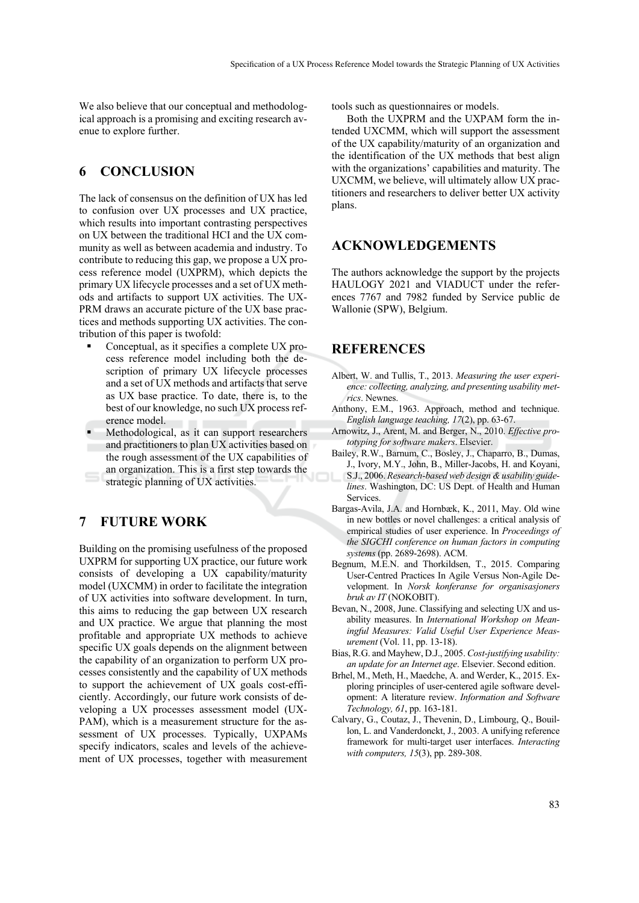We also believe that our conceptual and methodological approach is a promising and exciting research avenue to explore further.

### **6 CONCLUSION**

The lack of consensus on the definition of UX has led to confusion over UX processes and UX practice, which results into important contrasting perspectives on UX between the traditional HCI and the UX community as well as between academia and industry. To contribute to reducing this gap, we propose a UX process reference model (UXPRM), which depicts the primary UX lifecycle processes and a set of UX methods and artifacts to support UX activities. The UX-PRM draws an accurate picture of the UX base practices and methods supporting UX activities. The contribution of this paper is twofold:

- Conceptual, as it specifies a complete UX process reference model including both the description of primary UX lifecycle processes and a set of UX methods and artifacts that serve as UX base practice. To date, there is, to the best of our knowledge, no such UX process reference model.
- Methodological, as it can support researchers and practitioners to plan UX activities based on the rough assessment of the UX capabilities of an organization. This is a first step towards the
- strategic planning of UX activities.

### **7 FUTURE WORK**

Building on the promising usefulness of the proposed UXPRM for supporting UX practice, our future work consists of developing a UX capability/maturity model (UXCMM) in order to facilitate the integration of UX activities into software development. In turn, this aims to reducing the gap between UX research and UX practice. We argue that planning the most profitable and appropriate UX methods to achieve specific UX goals depends on the alignment between the capability of an organization to perform UX processes consistently and the capability of UX methods to support the achievement of UX goals cost-efficiently. Accordingly, our future work consists of developing a UX processes assessment model (UX-PAM), which is a measurement structure for the assessment of UX processes. Typically, UXPAMs specify indicators, scales and levels of the achievement of UX processes, together with measurement

tools such as questionnaires or models.

Both the UXPRM and the UXPAM form the intended UXCMM, which will support the assessment of the UX capability/maturity of an organization and the identification of the UX methods that best align with the organizations' capabilities and maturity. The UXCMM, we believe, will ultimately allow UX practitioners and researchers to deliver better UX activity plans.

#### **ACKNOWLEDGEMENTS**

The authors acknowledge the support by the projects HAULOGY 2021 and VIADUCT under the references 7767 and 7982 funded by Service public de Wallonie (SPW), Belgium.

### **REFERENCES**

- Albert, W. and Tullis, T., 2013. *Measuring the user experience: collecting, analyzing, and presenting usability metrics*. Newnes.
- Anthony, E.M., 1963. Approach, method and technique. *English language teaching, 17*(2), pp. 63-67.
- Arnowitz, J., Arent, M. and Berger, N., 2010. *Effective prototyping for software makers*. Elsevier.
- Bailey, R.W., Barnum, C., Bosley, J., Chaparro, B., Dumas, J., Ivory, M.Y., John, B., Miller-Jacobs, H. and Koyani, S.J., 2006. *Research-based web design & usability guidelines*. Washington, DC: US Dept. of Health and Human **Services**
- Bargas-Avila, J.A. and Hornbæk, K., 2011, May. Old wine in new bottles or novel challenges: a critical analysis of empirical studies of user experience. In *Proceedings of the SIGCHI conference on human factors in computing systems* (pp. 2689-2698). ACM.
- Begnum, M.E.N. and Thorkildsen, T., 2015. Comparing User-Centred Practices In Agile Versus Non-Agile Development. In *Norsk konferanse for organisasjoners bruk av IT* (NOKOBIT).
- Bevan, N., 2008, June. Classifying and selecting UX and usability measures. In *International Workshop on Meaningful Measures: Valid Useful User Experience Measurement* (Vol. 11, pp. 13-18).
- Bias, R.G. and Mayhew, D.J., 2005. *Cost-justifying usability: an update for an Internet age*. Elsevier. Second edition.
- Brhel, M., Meth, H., Maedche, A. and Werder, K., 2015. Exploring principles of user-centered agile software development: A literature review. *Information and Software Technology, 61*, pp. 163-181.
- Calvary, G., Coutaz, J., Thevenin, D., Limbourg, Q., Bouillon, L. and Vanderdonckt, J., 2003. A unifying reference framework for multi-target user interfaces. *Interacting with computers, 15*(3), pp. 289-308.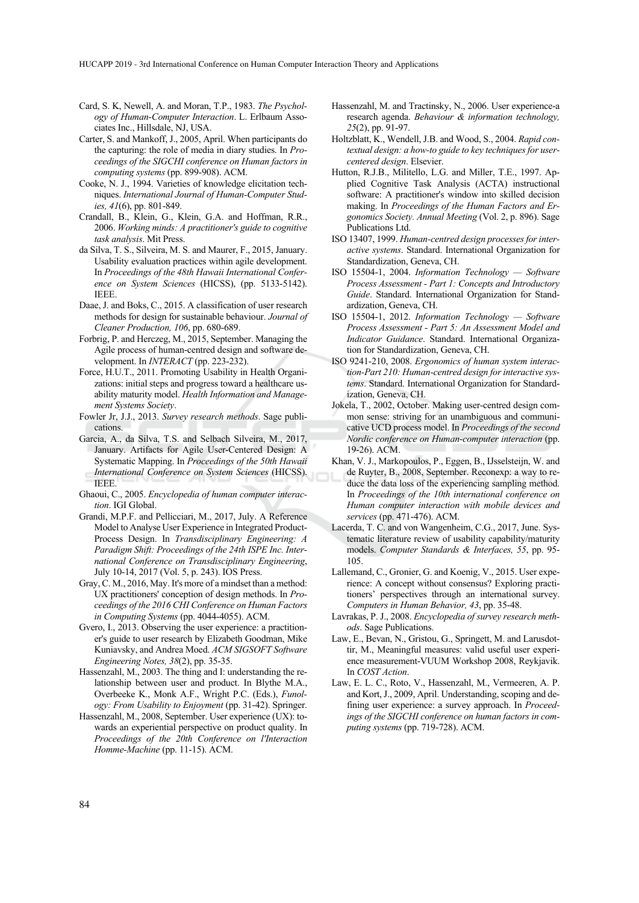- Card, S. K, Newell, A. and Moran, T.P., 1983. *The Psychology of Human-Computer Interaction*. L. Erlbaum Associates Inc., Hillsdale, NJ, USA.
- Carter, S. and Mankoff, J., 2005, April. When participants do the capturing: the role of media in diary studies. In *Proceedings of the SIGCHI conference on Human factors in computing systems* (pp. 899-908). ACM.
- Cooke, N. J., 1994. Varieties of knowledge elicitation techniques. *International Journal of Human-Computer Studies, 41*(6), pp. 801-849.
- Crandall, B., Klein, G., Klein, G.A. and Hoffman, R.R., 2006. *Working minds: A practitioner's guide to cognitive task analysis*. Mit Press.
- da Silva, T. S., Silveira, M. S. and Maurer, F., 2015, January. Usability evaluation practices within agile development. In *Proceedings of the 48th Hawaii International Conference on System Sciences* (HICSS), (pp. 5133-5142). IEEE.
- Daae, J. and Boks, C., 2015. A classification of user research methods for design for sustainable behaviour. *Journal of Cleaner Production, 106*, pp. 680-689.
- Forbrig, P. and Herczeg, M., 2015, September. Managing the Agile process of human-centred design and software development. In *INTERACT* (pp. 223-232).
- Force, H.U.T., 2011. Promoting Usability in Health Organizations: initial steps and progress toward a healthcare usability maturity model. *Health Information and Management Systems Society*.
- Fowler Jr, J.J., 2013. *Survey research methods*. Sage publications.
- Garcia, A., da Silva, T.S. and Selbach Silveira, M., 2017, January. Artifacts for Agile User-Centered Design: A Systematic Mapping. In *Proceedings of the 50th Hawaii International Conference on System Sciences* (HICSS). IEEE.
- Ghaoui, C., 2005. *Encyclopedia of human computer interaction*. IGI Global.
- Grandi, M.P.F. and Pellicciari, M., 2017, July. A Reference Model to Analyse User Experience in Integrated Product-Process Design. In *Transdisciplinary Engineering: A Paradigm Shift: Proceedings of the 24th ISPE Inc. International Conference on Transdisciplinary Engineering*, July 10-14, 2017 (Vol. 5, p. 243). IOS Press.
- Gray, C. M., 2016, May. It's more of a mindset than a method: UX practitioners' conception of design methods. In *Proceedings of the 2016 CHI Conference on Human Factors in Computing Systems* (pp. 4044-4055). ACM.
- Gvero, I., 2013. Observing the user experience: a practitioner's guide to user research by Elizabeth Goodman, Mike Kuniavsky, and Andrea Moed. *ACM SIGSOFT Software Engineering Notes, 38*(2), pp. 35-35.
- Hassenzahl, M., 2003. The thing and I: understanding the relationship between user and product. In Blythe M.A., Overbeeke K., Monk A.F., Wright P.C. (Eds.), *Funology: From Usability to Enjoyment* (pp. 31-42). Springer.
- Hassenzahl, M., 2008, September. User experience (UX): towards an experiential perspective on product quality. In *Proceedings of the 20th Conference on l'Interaction Homme-Machine* (pp. 11-15). ACM.
- Hassenzahl, M. and Tractinsky, N., 2006. User experience-a research agenda. *Behaviour & information technology, 25*(2), pp. 91-97.
- Holtzblatt, K., Wendell, J.B. and Wood, S., 2004. *Rapid contextual design: a how-to guide to key techniques for usercentered design*. Elsevier.
- Hutton, R.J.B., Militello, L.G. and Miller, T.E., 1997. Applied Cognitive Task Analysis (ACTA) instructional software: A practitioner's window into skilled decision making. In *Proceedings of the Human Factors and Ergonomics Society. Annual Meeting* (Vol. 2, p. 896). Sage Publications Ltd.
- ISO 13407, 1999. *Human-centred design processes for interactive systems*. Standard. International Organization for Standardization, Geneva, CH.
- ISO 15504-1, 2004. *Information Technology Software Process Assessment - Part 1: Concepts and Introductory Guide*. Standard. International Organization for Standardization, Geneva, CH.
- ISO 15504-1, 2012. *Information Technology Software Process Assessment - Part 5: An Assessment Model and Indicator Guidance*. Standard. International Organization for Standardization, Geneva, CH.
- ISO 9241-210, 2008. *Ergonomics of human system interaction-Part 210: Human-centred design for interactive systems*. Standard. International Organization for Standardization, Geneva, CH.
- Jokela, T., 2002, October. Making user-centred design common sense: striving for an unambiguous and communicative UCD process model. In *Proceedings of the second Nordic conference on Human-computer interaction* (pp. 19-26). ACM.
- Khan, V. J., Markopoulos, P., Eggen, B., IJsselsteijn, W. and de Ruyter, B., 2008, September. Reconexp: a way to reduce the data loss of the experiencing sampling method. In *Proceedings of the 10th international conference on Human computer interaction with mobile devices and services* (pp. 471-476). ACM.
- Lacerda, T. C. and von Wangenheim, C.G., 2017, June. Systematic literature review of usability capability/maturity models. *Computer Standards & Interfaces, 55*, pp. 95- 105.
- Lallemand, C., Gronier, G. and Koenig, V., 2015. User experience: A concept without consensus? Exploring practitioners' perspectives through an international survey. *Computers in Human Behavior, 43*, pp. 35-48.
- Lavrakas, P. J., 2008. *Encyclopedia of survey research methods*. Sage Publications.
- Law, E., Bevan, N., Gristou, G., Springett, M. and Larusdottir, M., Meaningful measures: valid useful user experience measurement-VUUM Workshop 2008, Reykjavik. In *COST Action*.
- Law, E. L. C., Roto, V., Hassenzahl, M., Vermeeren, A. P. and Kort, J., 2009, April. Understanding, scoping and defining user experience: a survey approach. In *Proceedings of the SIGCHI conference on human factors in computing systems* (pp. 719-728). ACM.